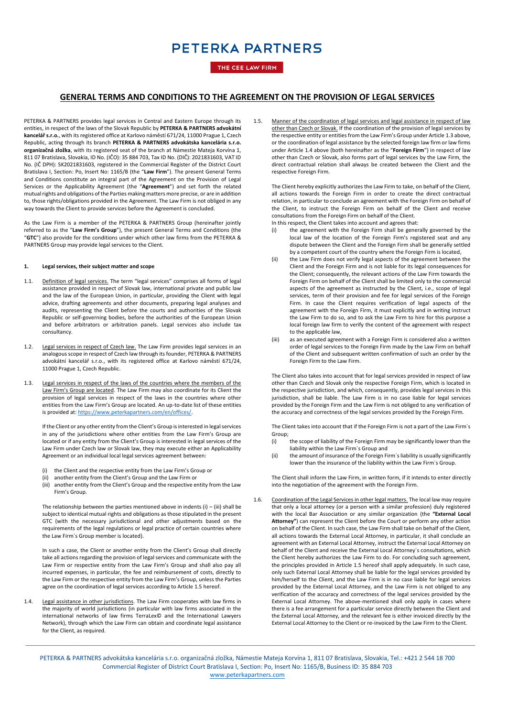## THE CEE LAW FIRM

## **GENERAL TERMS AND CONDITIONS TO THE AGREEMENT ON THE PROVISION OF LEGAL SERVICES**

PETERKA & PARTNERS provides legal services in Central and Eastern Europe through its entities, in respect of the laws of the Slovak Republic by **PETERKA & PARTNERS advokátní kancelář s.r.o.**, with its registered office at Karlovo náměstí 671/24, 11000 Prague 1, Czech Republic, acting through its branch **PETERKA & PARTNERS advokátska kancelária s.r.o. organizačná zložka**, with its registered seat of the branch at Námestie Mateja Korvína 1, 811 07 Bratislava, Slovakia, ID No. (IČO): 35 884 703, Tax ID No. (DIČ): 2021831603, VAT ID No. (IČ DPH): SK2021831603, registered in the Commercial Register of the District Court Bratislava I, Section: Po, Insert No: 1165/B (the "**Law Firm**"). The present General Terms and Conditions constitute an integral part of the Agreement on the Provision of Legal Services or the Applicability Agreement (the "**Agreement**") and set forth the related mutual rights and obligations of the Parties making matters more precise, or are in addition to, those rights/obligations provided in the Agreement. The Law Firm is not obliged in any way towards the Client to provide services before the Agreement is concluded.

As the Law Firm is a member of the PETERKA & PARTNERS Group (hereinafter jointly referred to as the "**Law Firm's Group**"), the present General Terms and Conditions (the "**GTC**") also provide for the conditions under which other law firms from the PETERKA & PARTNERS Group may provide legal services to the Client.

#### **1. Legal services, their subject matter and scope**

- 1.1. Definition of legal services. The term "legal services" comprises all forms of legal assistance provided in respect of Slovak law, international private and public law and the law of the European Union, in particular, providing the Client with legal advice, drafting agreements and other documents, preparing legal analyses and audits, representing the Client before the courts and authorities of the Slovak Republic or self-governing bodies, before the authorities of the European Union and before arbitrators or arbitration panels. Legal services also include tax consultancy.
- 1.2. Legal services in respect of Czech law. The Law Firm provides legal services in an analogous scope in respect of Czech law through its founder, PETERKA & PARTNERS advokátní kancelář s.r.o., with its registered office at Karlovo náměstí 671/24, 11000 Prague 1, Czech Republic.
- <span id="page-0-0"></span>1.3. Legal services in respect of the laws of the countries where the members of the Law Firm's Group are located. The Law Firm may also coordinate for its Client the provision of legal services in respect of the laws in the countries where other entities from the Law Firm's Group are located. An up-to-date list of these entities is provided at[: https://www.peterkapartners.com/en/offices/.](https://www.peterkapartners.com/en/offices/)

If the Client or any other entity from the Client's Group is interested in legal services in any of the jurisdictions where other entities from the Law Firm's Group are located or if any entity from the Client's Group is interested in legal services of the Law Firm under Czech law or Slovak law, they may execute either an Applicability Agreement or an individual local legal services agreement between:

- (i) the Client and the respective entity from the Law Firm's Group or<br>(ii) another entity from the Client's Group and the Law Firm or
- another entity from the Client's Group and the Law Firm or
- (iii) another entity from the Client's Group and the respective entity from the Law Firm's Group.

The relationship between the parties mentioned above in indents  $(i) - (iii)$  shall be subject to identical mutual rights and obligations as those stipulated in the present GTC (with the necessary jurisdictional and other adjustments based on the requirements of the legal regulations or legal practice of certain countries where the Law Firm´s Group member is located).

In such a case, the Client or another entity from the Client's Group shall directly take all actions regarding the provision of legal services and communicate with the Law Firm or respective entity from the Law Firm's Group and shall also pay all incurred expenses, in particular, the fee and reimbursement of costs, directly to the Law Firm or the respective entity from the Law Firm's Group, unless the Parties agree on the coordination of legal services according to Article 1.5 hereof.

<span id="page-0-1"></span>1.4. Legal assistance in other jurisdictions. The Law Firm cooperates with law firms in the majority of world jurisdictions (in particular with law firms associated in the international networks of law firms TerraLex© and the International Lawyers Network), through which the Law Firm can obtain and coordinate legal assistance for the Client, as required.

1.5. Manner of the coordination of legal services and legal assistance in respect of law other than Czech or Slovak. If the coordination of the provision of legal services by the respective entity or entities from the Law Firm's Group under Article [1.3](#page-0-0) above, or the coordination of legal assistance by the selected foreign law firm or law firms under Articl[e 1.4](#page-0-1) above (both hereinafter as the "**Foreign Firm**") in respect of law other than Czech or Slovak, also forms part of legal services by the Law Firm, the direct contractual relation shall always be created between the Client and the respective Foreign Firm.

The Client hereby explicitly authorizes the Law Firm to take, on behalf of the Client, all actions towards the Foreign Firm in order to create the direct contractual relation, in particular to conclude an agreement with the Foreign Firm on behalf of the Client, to instruct the Foreign Firm on behalf of the Client and receive consultations from the Foreign Firm on behalf of the Client.

In this respect, the Client takes into account and agrees that:

- (i) the agreement with the Foreign Firm shall be generally governed by the local law of the location of the Foreign Firm's registered seat and any dispute between the Client and the Foreign Firm shall be generally settled by a competent court of the country where the Foreign Firm is located,
- (ii) the Law Firm does not verify legal aspects of the agreement between the Client and the Foreign Firm and is not liable for its legal consequences for the Client; consequently, the relevant actions of the Law Firm towards the Foreign Firm on behalf of the Client shall be limited only to the commercial aspects of the agreement as instructed by the Client, i.e., scope of legal services, term of their provision and fee for legal services of the Foreign Firm. In case the Client requires verification of legal aspects of the agreement with the Foreign Firm, it must explicitly and in writing instruct the Law Firm to do so, and to ask the Law Firm to hire for this purpose a local foreign law firm to verify the content of the agreement with respect to the applicable law,
- (iii) as an executed agreement with a Foreign Firm is considered also a written order of legal services to the Foreign Firm made by the Law Firm on behalf of the Client and subsequent written confirmation of such an order by the Foreign Firm to the Law Firm.

The Client also takes into account that for legal services provided in respect of law other than Czech and Slovak only the respective Foreign Firm, which is located in the respective jurisdiction, and which, consequently, provides legal services in this jurisdiction, shall be liable. The Law Firm is in no case liable for legal services provided by the Foreign Firm and the Law Firm is not obliged to any verification of the accuracy and correctness of the legal services provided by the Foreign Firm.

The Client takes into account that if the Foreign Firm is not a part of the Law Firm´s Group;

- (i) the scope of liability of the Foreign Firm may be significantly lower than the liability within the Law Firm´s Group and
- (ii) the amount of insurance of the Foreign Firm´s liability is usually significantly lower than the insurance of the liability within the Law Firm´s Group.

The Client shall inform the Law Firm, in written form, if it intends to enter directly into the negotiation of the agreement with the Foreign Firm.

1.6. Coordination of the Legal Services in other legal matters. The local law may require that only a local attorney (or a person with a similar profession) duly registered with the local Bar Association or any similar organization (the **"External Local Attorney"**) can represent the Client before the Court or perform any other action on behalf of the Client. In such case, the Law Firm shall take on behalf of the Client, all actions towards the External Local Attorney, in particular, it shall conclude an agreement with an External Local Attorney, instruct the External Local Attorney on behalf of the Client and receive the External Local Attorney´s consultations, which the Client hereby authorizes the Law Firm to do. For concluding such agreement, the principles provided in Article 1.5 hereof shall apply adequately. In such case, only such External Local Attorney shall be liable for the legal services provided by him/herself to the Client, and the Law Firm is in no case liable for legal services provided by the External Local Attorney, and the Law Firm is not obliged to any verification of the accuracy and correctness of the legal services provided by the External Local Attorney. The above-mentioned shall only apply in cases where there is a fee arrangement for a particular service directly between the Client and the External Local Attorney, and the relevant fee is either invoiced directly by the External Local Attorney to the Client or re-invoiced by the Law Firm to the Client.

PETERKA & PARTNERS advokátska kancelária s.r.o. organizačná zložka, Námestie Mateja Korvína 1, 811 07 Bratislava, Slovakia, Tel.: +421 2 544 18 700 Commercial Register of District Court Bratislava I, Section: Po, Insert No: 1165/B, Business ID: 35 884 703 [www.peterkapartners.com](http://www.peterkapartners.com/)

\_\_\_\_\_\_\_\_\_\_\_\_\_\_\_\_\_\_\_\_\_\_\_\_\_\_\_\_\_\_\_\_\_\_\_\_\_\_\_\_\_\_\_\_\_\_\_\_\_\_\_\_\_\_\_\_\_\_\_\_\_\_\_\_\_\_\_\_\_\_\_\_\_\_\_\_\_\_\_\_\_\_\_\_\_\_\_\_\_\_\_\_\_\_\_\_\_\_\_\_\_\_\_\_\_\_\_\_\_\_\_\_\_\_\_\_\_\_\_\_\_\_\_\_\_\_\_\_\_\_\_\_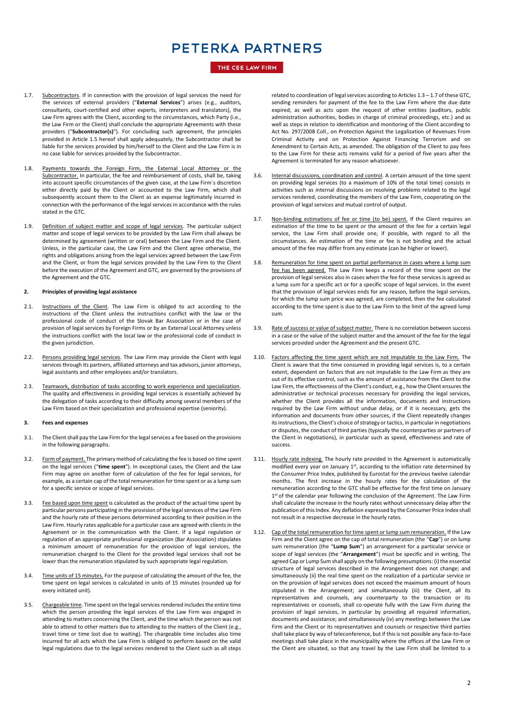### THE CEE LAW FIRM

- 1.7. Subcontractors. If in connection with the provision of legal services the need for the services of external providers ("**External Services**") arises (e.g., auditors, consultants, court-certified and other experts, interpreters and translators), the Law Firm agrees with the Client, according to the circumstances, which Party (i.e., the Law Firm or the Client) shall conclude the appropriate Agreements with these providers ("**Subcontractor(s)**"). For concluding such agreement, the principles provided in Article 1.5 hereof shall apply adequately, the Subcontractor shall be liable for the services provided by him/herself to the Client and the Law Firm is in no case liable for services provided by the Subcontractor.
- 1.8. Payments towards the Foreign Firm, the External Local Attorney or the Subcontractor. In particular, the fee and reimbursement of costs, shall be, taking into account specific circumstances of the given case, at the Law Firm´s discretion either directly paid by the Client or accounted to the Law Firm, which shall subsequently account them to the Client as an expense legitimately incurred in connection with the performance of the legal services in accordance with the rules stated in the GTC.
- 1.9. Definition of subject matter and scope of legal services. The particular subject matter and scope of legal services to be provided by the Law Firm shall always be determined by agreement (written or oral) between the Law Firm and the Client. Unless, in the particular case, the Law Firm and the Client agree otherwise, the rights and obligations arising from the legal services agreed between the Law Firm and the Client, or from the legal services provided by the Law Firm to the Client before the execution of the Agreement and GTC, are governed by the provisions of the Agreement and the GTC.

#### **2. Principles of providing legal assistance**

- 2.1. Instructions of the Client. The Law Firm is obliged to act according to the instructions of the Client unless the instructions conflict with the law or the professional code of conduct of the Slovak Bar Association or in the case of provision of legal services by Foreign Firms or by an External Local Attorney unless the instructions conflict with the local law or the professional code of conduct in the given jurisdiction.
- 2.2. Persons providing legal services. The Law Firm may provide the Client with legal services through its partners, affiliated attorneys and tax advisors, junior attorneys, legal assistants and other employees and/or translators.
- 2.3. Teamwork, distribution of tasks according to work experience and specialization. The quality and effectiveness in providing legal services is essentially achieved by the delegation of tasks according to their difficulty among several members of the Law Firm based on their specialization and professional expertise (seniority).

#### **3. Fees and expenses**

- 3.1. The Client shall pay the Law Firm for the legal services a fee based on the provisions in the following paragraphs.
- 3.2. Form of payment. The primary method of calculating the fee is based on time spent on the legal services ("**time spent**"). In exceptional cases, the Client and the Law Firm may agree on another form of calculation of the fee for legal services, for example, as a certain cap of the total remuneration for time spent or as a lump sum for a specific service or scope of legal services.
- 3.3. Fee based upon time spent is calculated as the product of the actual time spent by particular persons participating in the provision of the legal services of the Law Firm and the hourly rate of these persons determined according to their position in the Law Firm. Hourly rates applicable for a particular case are agreed with clients in the Agreement or in the communication with the Client. If a legal regulation or regulation of an appropriate professional organization (Bar Association) stipulates a minimum amount of remuneration for the provision of legal services, the remuneration charged to the Client for the provided legal services shall not be lower than the remuneration stipulated by such appropriate legal regulation.
- 3.4. Time units of 15 minutes. For the purpose of calculating the amount of the fee, the time spent on legal services is calculated in units of 15 minutes (rounded up for every initiated unit).
- 3.5. Chargeable time. Time spent on the legal services rendered includes the entire time which the person providing the legal services of the Law Firm was engaged in attending to matters concerning the Client, and the time which the person was not able to attend to other matters due to attending to the matters of the Client (e.g., travel time or time lost due to waiting). The chargeable time includes also time incurred for all acts which the Law Firm is obliged to perform based on the valid legal regulations due to the legal services rendered to the Client such as all steps

related to coordination of legal services according to Articles 1.3 – 1.7 of these GTC, sending reminders for payment of the fee to the Law Firm where the due date expired, as well as acts upon the request of other entities (auditors, public administration authorities, bodies in charge of criminal proceedings, etc.) and as well as steps in relation to identification and monitoring of the Client according to Act No. 297/2008 Coll., on Protection Against the Legalization of Revenues From Criminal Activity and on Protection Against Financing Terrorism and on Amendment to Certain Acts, as amended. The obligation of the Client to pay fees to the Law Firm for these acts remains valid for a period of five years after the Agreement is terminated for any reason whatsoever.

- 3.6. Internal discussions, coordination and control. A certain amount of the time spent on providing legal services (to a maximum of 10% of the total time) consists in activities such as internal discussions on resolving problems related to the legal services rendered, coordinating the members of the Law Firm, cooperating on the provision of legal services and mutual control of output.
- 3.7. Non-binding estimations of fee or time (to be) spent. If the Client requires an estimation of the time to be spent or the amount of the fee for a certain legal service, the Law Firm shall provide one, if possible, with regard to all the circumstances. An estimation of the time or fee is not binding and the actual amount of the fee may differ from any estimate (can be higher or lower).
- 3.8. Remuneration for time spent on partial performance in cases where a lump sum fee has been agreed. The Law Firm keeps a record of the time spent on the provision of legal services also in cases when the fee for these services is agreed as a lump sum for a specific act or for a specific scope of legal services. In the event that the provision of legal services ends for any reason, before the legal services, for which the lump sum price was agreed, are completed, then the fee calculated according to the time spent is due to the Law Firm to the limit of the agreed lump sum.
- 3.9. Rate of success or value of subject matter. There is no correlation between success in a case or the value of the subject matter and the amount of the fee for the legal services provided under the Agreement and the present GTC.
- 3.10. Factors affecting the time spent which are not imputable to the Law Firm. The Client is aware that the time consumed in providing legal services is, to a certain extent, dependent on factors that are not imputable to the Law Firm as they are out of its effective control, such as the amount of assistance from the Client to the Law Firm, the effectiveness of the Client's conduct, e.g., how the Client ensures the administrative or technical processes necessary for providing the legal services, whether the Client provides all the information, documents and instructions required by the Law Firm without undue delay, or if it is necessary, gets the information and documents from other sources, if the Client repeatedly changes its instructions, the Client's choice of strategy or tactics, in particular in negotiations or disputes, the conduct of third parties (typically the counterparties or partners of the Client in negotiations), in particular such as speed, effectiveness and rate of success.
- 3.11. Hourly rate indexing. The hourly rate provided in the Agreement is automatically modified every year on January 1st, according to the inflation rate determined by the Consumer Price Index, published by Eurostat for the previous twelve calendar months. The first increase in the hourly rates for the calculation of the remuneration according to the GTC shall be effective for the first time on January 1<sup>st</sup> of the calendar year following the conclusion of the Agreement. The Law Firm shall calculate the increase in the hourly rates without unnecessary delay after the publication of this Index. Any deflation expressed by the Consumer Price Index shall not result in a respective decrease in the hourly rates.
- 3.12. Cap of the total remuneration for time spent or lump sum remuneration. If the Law Firm and the Client agree on the cap of total remuneration (the "**Cap**") or on lump sum remuneration (the "**Lump Sum**") an arrangement for a particular service or scope of legal services (the "**Arrangement**") must be specific and in writing. The agreed Cap or Lump Sum shall apply on the following presumptions: (i) the essential structure of legal services described in the Arrangement does not change; and simultaneously (ii) the real time spent on the realization of a particular service or on the provision of legal services does not exceed the maximum amount of hours stipulated in the Arrangement; and simultaneously (iii) the Client, all its representatives and counsels, any counterparty to the transaction or its representatives or counsels, shall co-operate fully with the Law Firm during the provision of legal services, in particular by providing all required information, documents and assistance; and simultaneously (iv) any meetings between the Law Firm and the Client or its representatives and counsels or respective third parties shall take place by way of teleconference, but if this is not possible any face-to-face meetings shall take place in the municipality where the offices of the Law Firm or the Client are situated, so that any travel by the Law Firm shall be limited to a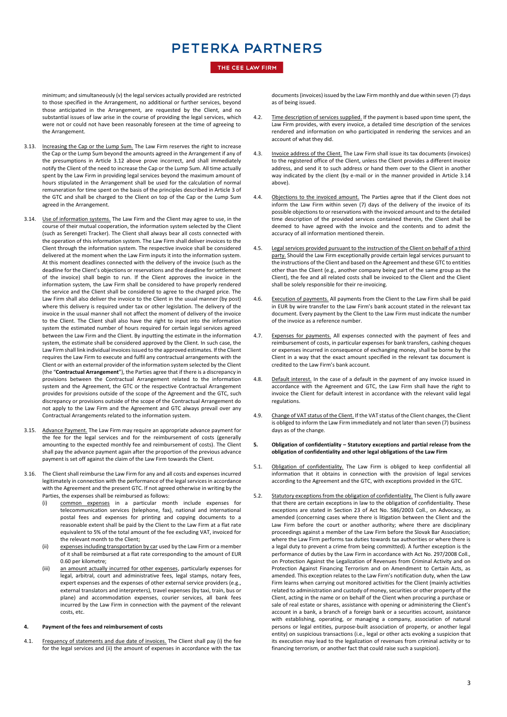### THE CEE LAW FIRM

minimum; and simultaneously (v) the legal services actually provided are restricted to those specified in the Arrangement, no additional or further services, beyond those anticipated in the Arrangement, are requested by the Client, and no substantial issues of law arise in the course of providing the legal services, which were not or could not have been reasonably foreseen at the time of agreeing to the Arrangement.

- 3.13. Increasing the Cap or the Lump Sum. The Law Firm reserves the right to increase the Cap or the Lump Sum beyond the amounts agreed in the Arrangement if any of the presumptions in Article 3.12 above prove incorrect, and shall immediately notify the Client of the need to increase the Cap or the Lump Sum. All time actually spent by the Law Firm in providing legal services beyond the maximum amount of hours stipulated in the Arrangement shall be used for the calculation of normal remuneration for time spent on the basis of the principles described in Article 3 of the GTC and shall be charged to the Client on top of the Cap or the Lump Sum agreed in the Arrangement.
- 3.14. Use of information systems. The Law Firm and the Client may agree to use, in the course of their mutual cooperation, the information system selected by the Client (such as Serengeti Tracker). The Client shall always bear all costs connected with the operation of this information system. The Law Firm shall deliver invoices to the Client through the information system. The respective invoice shall be considered delivered at the moment when the Law Firm inputs it into the information system. At this moment deadlines connected with the delivery of the invoice (such as the deadline for the Client's objections or reservations and the deadline for settlement of the invoice) shall begin to run. If the Client approves the invoice in the information system, the Law Firm shall be considered to have properly rendered the service and the Client shall be considered to agree to the charged price. The Law Firm shall also deliver the invoice to the Client in the usual manner (by post) where this delivery is required under tax or other legislation. The delivery of the invoice in the usual manner shall not affect the moment of delivery of the invoice to the Client. The Client shall also have the right to input into the information system the estimated number of hours required for certain legal services agreed between the Law Firm and the Client. By inputting the estimate in the information system, the estimate shall be considered approved by the Client. In such case, the Law Firm shall link individual invoices issued to the approved estimates. If the Client requires the Law Firm to execute and fulfil any contractual arrangements with the Client or with an external provider of the information system selected by the Client (the "**Contractual Arrangement**"), the Parties agree that if there is a discrepancy in provisions between the Contractual Arrangement related to the information system and the Agreement, the GTC or the respective Contractual Arrangement provides for provisions outside of the scope of the Agreement and the GTC, such discrepancy or provisions outside of the scope of the Contractual Arrangement do not apply to the Law Firm and the Agreement and GTC always prevail over any Contractual Arrangements related to the information system.
- 3.15. Advance Payment. The Law Firm may require an appropriate advance payment for the fee for the legal services and for the reimbursement of costs (generally amounting to the expected monthly fee and reimbursement of costs). The Client shall pay the advance payment again after the proportion of the previous advance payment is set off against the claim of the Law Firm towards the Client.
- 3.16. The Client shall reimburse the Law Firm for any and all costs and expenses incurred legitimately in connection with the performance of the legal services in accordance with the Agreement and the present GTC. If not agreed otherwise in writing by the Parties, the expenses shall be reimbursed as follows:
	- (i) common expenses in a particular month include expenses for telecommunication services (telephone, fax), national and international postal fees and expenses for printing and copying documents to a reasonable extent shall be paid by the Client to the Law Firm at a flat rate equivalent to 5% of the total amount of the fee excluding VAT, invoiced for the relevant month to the Client;
	- (ii) expenses including transportation by car used by the Law Firm or a member of it shall be reimbursed at a flat rate corresponding to the amount of EUR 0.60 per kilometre;
	- (iii) an amount actually incurred for other expenses, particularly expenses for legal, arbitral, court and administrative fees, legal stamps, notary fees, expert expenses and the expenses of other external service providers (e.g., external translators and interpreters), travel expenses (by taxi, train, bus or plane) and accommodation expenses, courier services, all bank fees incurred by the Law Firm in connection with the payment of the relevant costs, etc.

#### **4. Payment of the fees and reimbursement of costs**

4.1. Frequency of statements and due date of invoices. The Client shall pay (i) the fee for the legal services and (ii) the amount of expenses in accordance with the tax

documents (invoices) issued by the Law Firm monthly and due within seven (7) days as of being issued.

- 4.2. Time description of services supplied. If the payment is based upon time spent, the Law Firm provides, with every invoice, a detailed time description of the services rendered and information on who participated in rendering the services and an account of what they did.
- 4.3. Invoice address of the Client. The Law Firm shall issue its tax documents (invoices) to the registered office of the Client, unless the Client provides a different invoice address, and send it to such address or hand them over to the Client in another way indicated by the client (by e-mail or in the manner provided in Article 3.14 above).
- 4.4. Objections to the invoiced amount. The Parties agree that if the Client does not inform the Law Firm within seven (7) days of the delivery of the invoice of its possible objections to or reservations with the invoiced amount and to the detailed time description of the provided services contained therein, the Client shall be deemed to have agreed with the invoice and the contents and to admit the accuracy of all information mentioned therein.
- Legal services provided pursuant to the instruction of the Client on behalf of a third party. Should the Law Firm exceptionally provide certain legal services pursuant to the instructions of the Client and based on the Agreement and these GTC to entities other than the Client (e.g., another company being part of the same group as the Client), the fee and all related costs shall be invoiced to the Client and the Client shall be solely responsible for their re-invoicing.
- 4.6. Execution of payments. All payments from the Client to the Law Firm shall be paid in EUR by wire transfer to the Law Firm's bank account stated in the relevant tax document. Every payment by the Client to the Law Firm must indicate the number of the invoice as a reference number.
- 4.7. Expenses for payments. All expenses connected with the payment of fees and reimbursement of costs, in particular expenses for bank transfers, cashing cheques or expenses incurred in consequence of exchanging money, shall be borne by the Client in a way that the exact amount specified in the relevant tax document is credited to the Law Firm's bank account.
- 4.8. Default interest. In the case of a default in the payment of any invoice issued in accordance with the Agreement and GTC, the Law Firm shall have the right to invoice the Client for default interest in accordance with the relevant valid legal regulations.
- 4.9. Change of VAT status of the Client. If the VAT status of the Client changes, the Client is obliged to inform the Law Firm immediately and not later than seven (7) business days as of the change.
- **5. Obligation of confidentiality – Statutory exceptions and partial release from the obligation of confidentiality and other legal obligations of the Law Firm**
- 5.1. Obligation of confidentiality. The Law Firm is obliged to keep confidential all information that it obtains in connection with the provision of legal services according to the Agreement and the GTC, with exceptions provided in the GTC.
- 5.2. Statutory exceptions from the obligation of confidentiality. The Client is fully aware that there are certain exceptions in law to the obligation of confidentiality. These exceptions are stated in Section 23 of Act No. 586/2003 Coll., on Advocacy, as amended (concerning cases where there is litigation between the Client and the Law Firm before the court or another authority; where there are disciplinary proceedings against a member of the Law Firm before the Slovak Bar Association; where the Law Firm performs tax duties towards tax authorities or where there is a legal duty to prevent a crime from being committed). A further exception is the performance of duties by the Law Firm in accordance with Act No. 297/2008 Coll., on Protection Against the Legalization of Revenues from Criminal Activity and on Protection Against Financing Terrorism and on Amendment to Certain Acts, as amended. This exception relates to the Law Firm's notification duty, when the Law Firm learns when carrying out monitored activities for the Client (mainly activities related to administration and custody of money, securities or other property of the Client, acting in the name or on behalf of the Client when procuring a purchase or sale of real estate or shares, assistance with opening or administering the Client's account in a bank, a branch of a foreign bank or a securities account, assistance with establishing, operating, or managing a company, association of natural persons or legal entities, purpose-built association of property, or another legal entity) on suspicious transactions (i.e., legal or other acts evoking a suspicion that its execution may lead to the legalization of revenues from criminal activity or to financing terrorism, or another fact that could raise such a suspicion).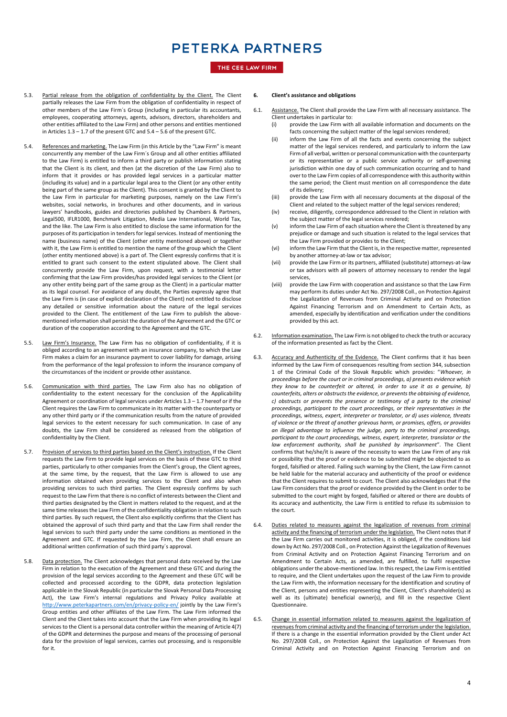### THE CEE LAW FIRM

- 5.3. Partial release from the obligation of confidentiality by the Client. The Client partially releases the Law Firm from the obligation of confidentiality in respect of other members of the Law Firm´s Group (including in particular its accountants, employees, cooperating attorneys, agents, advisors, directors, shareholders and other entities affiliated to the Law Firm) and other persons and entities mentioned in Articles 1.3 – 1.7 of the present GTC and 5.4 – 5.6 of the present GTC.
- 5.4. References and marketing. The Law Firm (in this Article by the "Law Firm" is meant concurrently any member of the Law Firm´s Group and all other entities affiliated to the Law Firm) is entitled to inform a third party or publish information stating that the Client is its client, and then (at the discretion of the Law Firm) also to inform that it provides or has provided legal services in a particular matter (including its value) and in a particular legal area to the Client (or any other entity being part of the same group as the Client). This consent is granted by the Client to the Law Firm in particular for marketing purposes, namely on the Law Firm's websites, social networks, in brochures and other documents, and in various lawyers' handbooks, guides and directories published by Chambers & Partners, Legal500, IFLR1000, Benchmark Litigation, Media Law International, World Tax, and the like. The Law Firm is also entitled to disclose the same information for the purposes of its participation in tenders for legal services. Instead of mentioning the name (business name) of the Client (other entity mentioned above) or together with it, the Law Firm is entitled to mention the name of the group which the Client (other entity mentioned above) is a part of. The Client expressly confirms that it is entitled to grant such consent to the extent stipulated above. The Client shall concurrently provide the Law Firm, upon request, with a testimonial letter confirming that the Law Firm provides/has provided legal services to the Client (or any other entity being part of the same group as the Client) in a particular matter as its legal counsel. For avoidance of any doubt, the Parties expressly agree that the Law Firm is (in case of explicit declaration of the Client) not entitled to disclose any detailed or sensitive information about the nature of the legal services provided to the Client. The entitlement of the Law Firm to publish the abovementioned information shall persist the duration of the Agreement and the GTC or duration of the cooperation according to the Agreement and the GTC.
- 5.5. Law Firm's Insurance. The Law Firm has no obligation of confidentiality, if it is obliged according to an agreement with an insurance company, to which the Law Firm makes a claim for an insurance payment to cover liability for damage, arising from the performance of the legal profession to inform the insurance company of the circumstances of the incident or provide other assistance.
- 5.6. Communication with third parties. The Law Firm also has no obligation of confidentiality to the extent necessary for the conclusion of the Applicability Agreement or coordination of legal services under Articles 1.3 – 1.7 hereof or if the Client requires the Law Firm to communicate in its matter with the counterparty or any other third party or if the communication results from the nature of provided legal services to the extent necessary for such communication. In case of any doubts, the Law Firm shall be considered as released from the obligation of confidentiality by the Client.
- 5.7. Provision of services to third parties based on the Client's instruction. If the Client requests the Law Firm to provide legal services on the basis of these GTC to third parties, particularly to other companies from the Client's group, the Client agrees, at the same time, by the request, that the Law Firm is allowed to use any information obtained when providing services to the Client and also when providing services to such third parties. The Client expressly confirms by such request to the Law Firm that there is no conflict of interests between the Client and third parties designated by the Client in matters related to the request, and at the same time releases the Law Firm of the confidentiality obligation in relation to such third parties. By such request, the Client also explicitly confirms that the Client has obtained the approval of such third party and that the Law Firm shall render the legal services to such third party under the same conditions as mentioned in the Agreement and GTC. If requested by the Law Firm, the Client shall ensure an additional written confirmation of such third party´s approval.
- 5.8. Data protection. The Client acknowledges that personal data received by the Law Firm in relation to the execution of the Agreement and these GTC and during the provision of the legal services according to the Agreement and these GTC will be collected and processed according to the GDPR, data protection legislation applicable in the Slovak Republic (in particular the Slovak Personal Data Processing Act), the Law Firm's internal regulations and Privacy Policy available at <http://www.peterkapartners.com/en/privacy-policy-en/> jointly by the Law Firm's Group entities and other affiliates of the Law Firm. The Law Firm informed the Client and the Client takes into account that the Law Firm when providing its legal services to the Client is a personal data controller within the meaning of Article 4(7) of the GDPR and determines the purpose and means of the processing of personal data for the provision of legal services, carries out processing, and is responsible for it.

#### **6. Client's assistance and obligations**

- 6.1. Assistance. The Client shall provide the Law Firm with all necessary assistance. The Client undertakes in particular to:<br>(i) provide the Law Firm with
	- provide the Law Firm with all available information and documents on the facts concerning the subject matter of the legal services rendered;
	- (ii) inform the Law Firm of all the facts and events concerning the subject matter of the legal services rendered, and particularly to inform the Law Firm of all verbal, written or personal communication with the counterparty or its representative or a public service authority or self-governing jurisdiction within one day of such communication occurring and to hand over to the Law Firm copies of all correspondence with this authority within the same period; the Client must mention on all correspondence the date of its delivery;
	- (iii) provide the Law Firm with all necessary documents at the disposal of the Client and related to the subject matter of the legal services rendered;
	- (iv) receive, diligently, correspondence addressed to the Client in relation with the subject matter of the legal services rendered;
	- (v) inform the Law Firm of each situation where the Client is threatened by any prejudice or damage and such situation is related to the legal services that the Law Firm provided or provides to the Client;
	- (vi) inform the Law Firm that the Client is, in the respective matter, represented by another attorney-at-law or tax advisor;
	- (vii) provide the Law Firm or its partners, affiliated (substitute) attorneys-at-law or tax advisors with all powers of attorney necessary to render the legal services,
	- (viii) provide the Law Firm with cooperation and assistance so that the Law Firm may perform its duties under Act No. 297/2008 Coll., on Protection Against the Legalization of Revenues from Criminal Activity and on Protection Against Financing Terrorism and on Amendment to Certain Acts, as amended, especially by identification and verification under the conditions provided by this act.
- 6.2. Information examination. The Law Firm is not obliged to check the truth or accuracy of the information presented as fact by the Client.
- 6.3. Accuracy and Authenticity of the Evidence. The Client confirms that it has been informed by the Law Firm of consequences resulting from section 344, subsection 1 of the Criminal Code of the Slovak Republic which provides: "*Whoever, in proceedings before the court or in criminal proceedings, a) presents evidence which they know to be counterfeit or altered, in order to use it as a genuine, b) counterfeits, alters or obstructs the evidence, or prevents the obtaining of evidence, c) obstructs or prevents the presence or testimony of a party to the criminal proceedings, participant to the court proceedings, or their representatives in the proceedings, witness, expert, interpreter or translator, or d) uses violence, threats of violence or the threat of another grievous harm, or promises, offers, or provides an illegal advantage to influence the judge, party to the criminal proceedings, participant to the court proceedings, witness, expert, interpreter, translator or the law enforcement authority, shall be punished by imprisonment*". The Client confirms that he/she/it is aware of the necessity to warn the Law Firm of any risk or possibility that the proof or evidence to be submitted might be objected to as forged, falsified or altered. Failing such warning by the Client, the Law Firm cannot be held liable for the material accuracy and authenticity of the proof or evidence that the Client requires to submit to court. The Client also acknowledges that if the Law Firm considers that the proof or evidence provided by the Client in order to be submitted to the court might by forged, falsified or altered or there are doubts of its accuracy and authenticity, the Law Firm is entitled to refuse its submission to the court.
- 6.4. Duties related to measures against the legalization of revenues from criminal activity and the financing of terrorism under the legislation. The Client notes that if the Law Firm carries out monitored activities, it is obliged, if the conditions laid down by Act No. 297/2008 Coll., on Protection Against the Legalization of Revenues from Criminal Activity and on Protection Against Financing Terrorism and on Amendment to Certain Acts, as amended, are fulfilled, to fulfil respective obligations under the above-mentioned law. In this respect, the Law Firm is entitled to require, and the Client undertakes upon the request of the Law Firm to provide the Law Firm with, the information necessary for the identification and scrutiny of the Client, persons and entities representing the Client, Client's shareholder(s) as well as its (ultimate) beneficial owner(s), and fill in the respective Client Questionnaire.
- 6.5. Change in essential information related to measures against the legalization of revenues from criminal activity and the financing of terrorism under the legislation. If there is a change in the essential information provided by the Client under Act No. 297/2008 Coll., on Protection Against the Legalization of Revenues from Criminal Activity and on Protection Against Financing Terrorism and on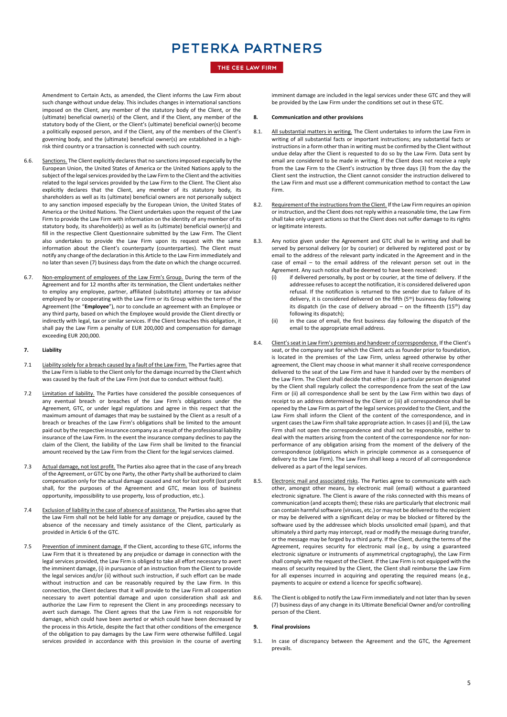### THE CEE LAW FIRM

Amendment to Certain Acts, as amended, the Client informs the Law Firm about such change without undue delay. This includes changes in international sanctions imposed on the Client, any member of the statutory body of the Client, or the (ultimate) beneficial owner(s) of the Client, and if the Client, any member of the statutory body of the Client, or the Client's (ultimate) beneficial owner(s) become a politically exposed person, and if the Client, any of the members of the Client's governing body, and the (ultimate) beneficial owner(s) are established in a highrisk third country or a transaction is connected with such country.

- 6.6. Sanctions. The Client explicitly declares that no sanctions imposed especially by the European Union, the United States of America or the United Nations apply to the subject of the legal services provided by the Law Firm to the Client and the activities related to the legal services provided by the Law Firm to the Client. The Client also explicitly declares that the Client, any member of its statutory body, its shareholders as well as its (ultimate) beneficial owners are not personally subject to any sanction imposed especially by the European Union, the United States of America or the United Nations. The Client undertakes upon the request of the Law Firm to provide the Law Firm with information on the identity of any member of its statutory body, its shareholder(s) as well as its (ultimate) beneficial owner(s) and fill in the respective Client Questionnaire submitted by the Law Firm. The Client also undertakes to provide the Law Firm upon its request with the same information about the Client's counterparty (counterparties). The Client must notify any change of the declaration in this Article to the Law Firm immediately and no later than seven (7) business days from the date on which the change occurred.
- 6.7. Non-employment of employees of the Law Firm's Group. During the term of the Agreement and for 12 months after its termination, the Client undertakes neither to employ any employee, partner, affiliated (substitute) attorney or tax advisor employed by or cooperating with the Law Firm or its Group within the term of the Agreement (the "**Employee**"), nor to conclude an agreement with an Employee or any third party, based on which the Employee would provide the Client directly or indirectly with legal, tax or similar services. If the Client breaches this obligation, it shall pay the Law Firm a penalty of EUR 200,000 and compensation for damage exceeding EUR 200,000.

### **7. Liability**

- 7.1 Liability solely for a breach caused by a fault of the Law Firm. The Parties agree that the Law Firm is liable to the Client only for the damage incurred by the Client which was caused by the fault of the Law Firm (not due to conduct without fault).
- 7.2 Limitation of liability. The Parties have considered the possible consequences of any eventual breach or breaches of the Law Firm's obligations under the Agreement, GTC, or under legal regulations and agree in this respect that the maximum amount of damages that may be sustained by the Client as a result of a breach or breaches of the Law Firm's obligations shall be limited to the amount paid out by the respective insurance company as a result of the professional liability insurance of the Law Firm. In the event the insurance company declines to pay the claim of the Client, the liability of the Law Firm shall be limited to the financial amount received by the Law Firm from the Client for the legal services claimed.
- 7.3 Actual damage, not lost profit. The Parties also agree that in the case of any breach of the Agreement, or GTC by one Party, the other Party shall be authorized to claim compensation only for the actual damage caused and not for lost profit (lost profit shall, for the purposes of the Agreement and GTC, mean loss of business opportunity, impossibility to use property, loss of production, etc.).
- 7.4 Exclusion of liability in the case of absence of assistance. The Parties also agree that the Law Firm shall not be held liable for any damage or prejudice, caused by the absence of the necessary and timely assistance of the Client, particularly as provided in Article 6 of the GTC.
- 7.5 Prevention of imminent damage. If the Client, according to these GTC, informs the Law Firm that it is threatened by any prejudice or damage in connection with the legal services provided, the Law Firm is obliged to take all effort necessary to avert the imminent damage, (i) in pursuance of an instruction from the Client to provide the legal services and/or (ii) without such instruction, if such effort can be made without instruction and can be reasonably required by the Law Firm. In this connection, the Client declares that it will provide to the Law Firm all cooperation necessary to avert potential damage and upon consideration shall ask and authorize the Law Firm to represent the Client in any proceedings necessary to avert such damage. The Client agrees that the Law Firm is not responsible for damage, which could have been averted or which could have been decreased by the process in this Article, despite the fact that other conditions of the emergence of the obligation to pay damages by the Law Firm were otherwise fulfilled. Legal services provided in accordance with this provision in the course of averting

imminent damage are included in the legal services under these GTC and they will be provided by the Law Firm under the conditions set out in these GTC.

#### **8. Communication and other provisions**

- 8.1. All substantial matters in writing. The Client undertakes to inform the Law Firm in writing of all substantial facts or important instructions; any substantial facts or instructions in a form other than in writing must be confirmed by the Client without undue delay after the Client is requested to do so by the Law Firm. Data sent by email are considered to be made in writing. If the Client does not receive a reply from the Law Firm to the Client's instruction by three days (3) from the day the Client sent the instruction, the Client cannot consider the instruction delivered to the Law Firm and must use a different communication method to contact the Law Firm.
- 8.2. Requirement of the instructions from the Client. If the Law Firm requires an opinion or instruction, and the Client does not reply within a reasonable time, the Law Firm shall take only urgent actions so that the Client does not suffer damage to its rights or legitimate interests.
- Any notice given under the Agreement and GTC shall be in writing and shall be served by personal delivery (or by courier) or delivered by registered post or by email to the address of the relevant party indicated in the Agreement and in the case of email – to the email address of the relevant person set out in the Agreement. Any such notice shall be deemed to have been received:
	- (i) if delivered personally, by post or by courier, at the time of delivery. If the addressee refuses to accept the notification, it is considered delivered upon refusal. If the notification is returned to the sender due to failure of its delivery, it is considered delivered on the fifth (5th) business day following its dispatch (in the case of delivery abroad – on the fifteenth (15<sup>th</sup>) day following its dispatch);
	- (ii) in the case of email, the first business day following the dispatch of the email to the appropriate email address.
- 8.4. Client's seat in Law Firm's premises and handover of correspondence. If the Client's seat, or the company seat for which the Client acts as founder prior to foundation, is located in the premises of the Law Firm, unless agreed otherwise by other agreement, the Client may choose in what manner it shall receive correspondence delivered to the seat of the Law Firm and have it handed over by the members of the Law Firm. The Client shall decide that either: (i) a particular person designated by the Client shall regularly collect the correspondence from the seat of the Law Firm or (ii) all correspondence shall be sent by the Law Firm within two days of receipt to an address determined by the Client or (iii) all correspondence shall be opened by the Law Firm as part of the legal services provided to the Client, and the Law Firm shall inform the Client of the content of the correspondence, and in urgent cases the Law Firm shall take appropriate action. In cases (i) and (ii), the Law Firm shall not open the correspondence and shall not be responsible, neither to deal with the matters arising from the content of the correspondence nor for nonperformance of any obligation arising from the moment of the delivery of the correspondence (obligations which in principle commence as a consequence of delivery to the Law Firm). The Law Firm shall keep a record of all correspondence delivered as a part of the legal services.
- 8.5. Electronic mail and associated risks. The Parties agree to communicate with each other, amongst other means, by electronic mail (email) without a guaranteed electronic signature. The Client is aware of the risks connected with this means of communication (and accepts them); these risks are particularly that electronic mail can contain harmful software (viruses, etc.) or may not be delivered to the recipient or may be delivered with a significant delay or may be blocked or filtered by the software used by the addressee which blocks unsolicited email (spam), and that ultimately a third party may intercept, read or modify the message during transfer, or the message may be forged by a third party. If the Client, during the terms of the Agreement, requires security for electronic mail (e.g., by using a guaranteed electronic signature or instruments of asymmetrical cryptography), the Law Firm shall comply with the request of the Client. If the Law Firm is not equipped with the means of security required by the Client, the Client shall reimburse the Law Firm for all expenses incurred in acquiring and operating the required means (e.g., payments to acquire or extend a licence for specific software).
- 8.6. The Client is obliged to notify the Law Firm immediately and not later than by seven (7) business days of any change in its Ultimate Beneficial Owner and/or controlling person of the Client.

### **9. Final provisions**

9.1. In case of discrepancy between the Agreement and the GTC, the Agreement prevails.